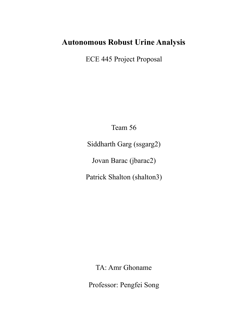## **Autonomous Robust Urine Analysis**

ECE 445 Project Proposal

Team 56

Siddharth Garg (ssgarg2)

Jovan Barac (jbarac2)

Patrick Shalton (shalton3)

TA: Amr Ghoname

Professor: Pengfei Song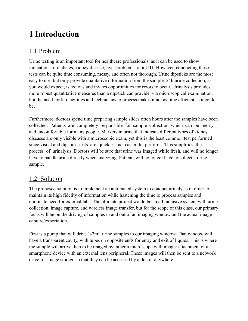# **1 Introduction**

## 1.1 Problem

Urine testing is an important tool for healthcare professionals, as it can be used to show indications of diabetes, kidney disease, liver problems, or a UTI. However, conducting these tests can be quite time consuming, messy, and often not thorough. Urine dipsticks are the most easy to use, but only provide qualitative information from the sample. 24h urine collection, as you would expect, is tedious and invites opportunities for errors to occur. Urinalysis provides more robust quantitative measures than a dipstick can provide, via microscopical examination, but the need for lab facilities and technicians to process makes it not as time efficient as it could be.

Furthermore, doctors spend time preparing sample slides often hours after the samples have been collected. Patients are completely responsible for sample collection which can be messy and uncomfortable for many people. Markers in urine that indicate different types of kidney diseases are only visible with a microscopic exam, yet this is the least common test performed since visual and dipstick tests are quicker and easier to perform. This simplifies the process of urinalysis. Doctors will be sure that urine was imaged while fresh, and will no longer have to handle urine directly when analyzing. Patients will no longer have to collect a urine sample.

## 1.2 Solution

The proposed solution is to implement an automated system to conduct urinalysis in order to maintain its high fidelity of information while hastening the time to process samples and eliminate need for external labs. The ultimate project would be an all inclusive system with urine collection, image capture, and wireless image transfer, but for the scope of this class, our primary focus will be on the driving of samples in and out of an imaging window and the actual image capture/exportation.

First is a pump that will drive 1-2mL urine samples to our imaging window. That window will have a transparent cavity, with tubes on opposite ends for entry and exit of liquids. This is where the sample will arrive then to be imaged by either a microscope with imager attachment or a smartphone device with an external lens peripheral. These images will then be sent to a network drive for image storage so that they can be accessed by a doctor anywhere.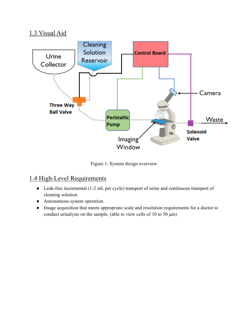### 1.3 Visual Aid



Figure 1: System design overview

### 1.4 High-Level Requirements

- Leak-free incremental (1-2 mL per cycle) transport of urine and continuous transport of cleaning solution.
- Autonomous system operation.
- Image acquisition that meets appropriate scale and resolution requirements for a doctor to conduct urinalysis on the sample. (able to view cells of 10 to 50 μm)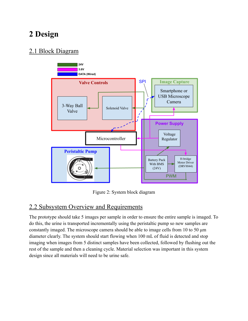# **2 Design**

### 2.1 Block Diagram



Figure 2: System block diagram

### 2.2 Subsystem Overview and Requirements

The prototype should take 5 images per sample in order to ensure the entire sample is imaged. To do this, the urine is transported incrementally using the peristaltic pump so new samples are constantly imaged. The microscope camera should be able to image cells from 10 to 50 μm diameter clearly. The system should start flowing when 100 mL of fluid is detected and stop imaging when images from 5 distinct samples have been collected, followed by flushing out the rest of the sample and then a cleaning cycle. Material selection was important in this system design since all materials will need to be urine safe.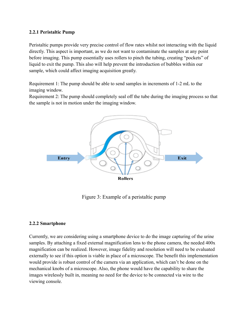#### **2.2.1 Peristaltic Pump**

Peristaltic pumps provide very precise control of flow rates whilst not interacting with the liquid directly. This aspect is important, as we do not want to contaminate the samples at any point before imaging. This pump essentially uses rollers to pinch the tubing, creating "pockets" of liquid to exit the pump. This also will help prevent the introduction of bubbles within our sample, which could affect imaging acquisition greatly.

Requirement 1: The pump should be able to send samples in increments of 1-2 mL to the imaging window.

Requirement 2: The pump should completely seal off the tube during the imaging process so that the sample is not in motion under the imaging window.



Figure 3: Example of a peristaltic pump

#### **2.2.2 Smartphone**

Currently, we are considering using a smartphone device to do the image capturing of the urine samples. By attaching a fixed external magnification lens to the phone camera, the needed 400x magnification can be realized. However, image fidelity and resolution will need to be evaluated externally to see if this option is viable in place of a microscope. The benefit this implementation would provide is robust control of the camera via an application, which can't be done on the mechanical knobs of a microscope. Also, the phone would have the capability to share the images wirelessly built in, meaning no need for the device to be connected via wire to the viewing console.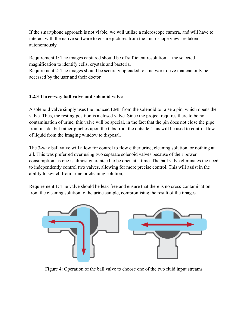If the smartphone approach is not viable, we will utilize a microscope camera, and will have to interact with the native software to ensure pictures from the microscope view are taken autonomously

Requirement 1: The images captured should be of sufficient resolution at the selected magnification to identify cells, crystals and bacteria.

Requirement 2: The images should be securely uploaded to a network drive that can only be accessed by the user and their doctor.

#### **2.2.3 Three-way ball valve and solenoid valve**

A solenoid valve simply uses the induced EMF from the solenoid to raise a pin, which opens the valve. Thus, the resting position is a closed valve. Since the project requires there to be no contamination of urine, this valve will be special, in the fact that the pin does not close the pipe from inside, but rather pinches upon the tubs from the outside. This will be used to control flow of liquid from the imaging window to disposal.

The 3-way ball valve will allow for control to flow either urine, cleaning solution, or nothing at all. This was preferred over using two separate solenoid valves because of their power consumption, as one is almost guaranteed to be open at a time. The ball valve eliminates the need to independently control two valves, allowing for more precise control. This will assist in the ability to switch from urine or cleaning solution,

Requirement 1: The valve should be leak free and ensure that there is no cross-contamination from the cleaning solution to the urine sample, compromising the result of the images.



Figure 4: Operation of the ball valve to choose one of the two fluid input streams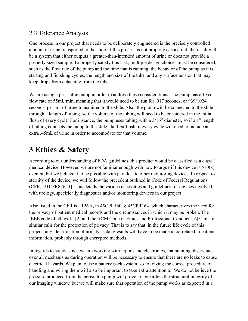### 2.3 Tolerance Analysis

One process in our project that needs to be deliberately engineered is the precisely controlled amount of urine transported to the slide. If this process is not properly carried out, the result will be a system that either outputs a greater-than-intended amount of urine or does not provide a properly sized sample. To properly satisfy this task, multiple design choices must be considered, such as the flow rate of the pump and the time that is running, the behavior of the pump as it is starting and finishing cycles, the length and size of the tube, and any surface tension that may keep drops from detaching from the tube.

We are using a peristaltic pump in order to address these considerations. The pump has a fixed flow rate of 55mL/min, meaning that it would need to be run for .917 seconds, or 939/1024 seconds, per mL of urine transmitted to the slide. Also, the pump will be connected to the slide through a length of tubing, so the volume of the tubing will need to be considered in the initial flush of every cycle. For instance, the pump uses tubing with a 3/16" diameter, so if a 1" length of tubing connects the pump to the slide, the first flush of every cycle will need to include an extra .45mL of urine in order to accomodate for that volume.

## **3 Ethics & Safety**

According to our understanding of FDA guidelines, this product would be classified as a class 1 medical device. However, we are not familiar enough with how to argue if this device is 510(k) exempt, but we believe it to be possible with parallels to other monitoring devices. In respect to sterility of the device, we will follow the precedent outlined in Code of Federal Regulations (CFR), 21CFR876 [1]. This details the various necessities and guidelines for devices involved with urology, specifically diagnostics and/or monitoring devices in our project.

Also listed in the CFR is HIPAA, in 45CPR160 & 45CPR164, which characterizes the need for the privacy of patient medical records and the circumstances in which it may be broken. The IEEE code of ethics 1.1[2] and the ACM Code of Ethics and Professional Conduct 1.6[3] make similar calls for the protection of privacy. That is to say that, in the future life cycle of this project, any identification of urinalysis data/results will have to be made uncorrelated to patient information, probably through encrypted methods.

In regards to safety, since we are working with liquids and electronics, maintaining observance over all mechanisms during operation will be necessary to ensure that there are no leaks to cause electrical hazards. We plan to use a battery pack system, so following the correct procedure of handling and wiring them will also be important to take extra attention to. We do not believe the pressure produced from the peristaltic pump will prove to jeopardize the structural integrity of our imaging window, but we will make sure that operation of the pump works as expected in a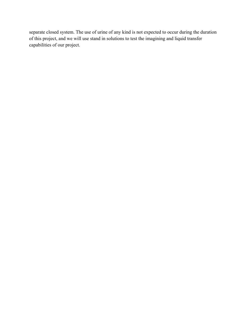separate closed system. The use of urine of any kind is not expected to occur during the duration of this project, and we will use stand in solutions to test the imagining and liquid transfer capabilities of our project.